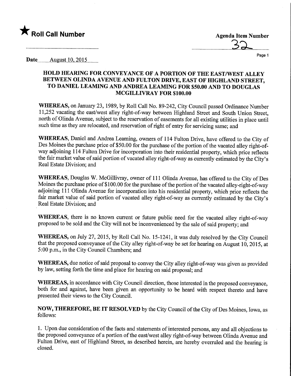

Date........Augyst.lO,2015.

## HOLD HEARING FOR CONVEYANCE OF A PORTION OF THE EAST/WEST ALLEY BETWEEN OLINDA AVENUE AND FULTON DMVE, EAST OF HIGHLAND STREET, TO DANIEL LEAMING AND ANDREA LEAMING FOR \$50.00 AND TO DOUGLAS MCGILLIVRAY FOR \$100.00

WHEREAS, on January 23, 1989, by Roll Call No. 89-242, City Council passed Ordinance Number 11,252 vacating the east/west alley right-of-way between Highland Street and South Union Street, north of Olinda Avenue, subject to the reservation of easements for all existing utilities in place until such time as they are relocated, and reservation of right of entry for servicing same; and

WHEREAS, Daniel and Andrea Leaming, owners of 114 Fulton Drive, have offered to the City of Des Moines the purchase price of \$50.00 for the purchase of the portion of the vacated alley right-ofway adjoining 114 Fulton Drive for incorporation into their residential property, which price reflects the fair market value of said portion of vacated alley right-of-way as currently estimated by the City's Real Estate Division; and

WHEREAS, Douglas W. McGillivray, owner of 111 Olinda Avenue, has offered to the City of Des Moines the purchase price of \$100.00 for the purchase of the portion of the vacated alley-right-of-way adjoining 111 Olinda Avenue for incorporation into his residential property, which price reflects the fair market value of said portion of vacated alley right-of-way as currently estimated by the City's Real Estate Division; and

WHEREAS, there is no known current or future public need for the vacated alley right-of-way proposed to be sold and the City will not be inconvenienced by the sale of said property; and

WHEREAS, on July 27, 2015, by Roll Call No. 15-1241, it was duly resolved by the City Council that the proposed conveyance of the City alley right-of-way be set for hearing on August 10, 2015, at 5:00 p.m., in the City Council Chambers; and

WHEREAS, due notice of said proposal to convey the City alley right-of-way was given as provided by law, setting forth the time and place for hearing on said proposal; and

WHEREAS, in accordance with City Council direction, those interested in the proposed conveyance, both for and against, have been given an opportunity to be heard with respect thereto and have presented their views to the City Council.

NOW, THEREFORE, BE IT RESOLVED by the City Council of the City of Des Moines, Iowa, as follows:

1. Upon due consideration of the facts and statements of interested persons, any and all objections to the proposed conveyance of a portion of the east/west alley right-of-way between Olinda Avenue and Fulton Drive, east of Highland Street, as described herein, are hereby overruled and the hearing is closed.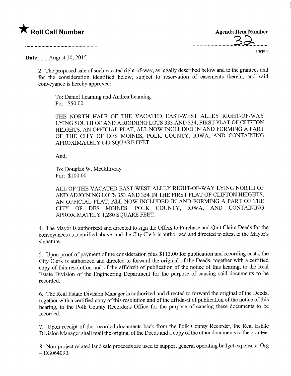## $\bigstar$  Roll Call Number

**Agenda Item Number** 

Page 2

Date **August** 10, 2015.

2. The proposed sale of such vacated right-of-way, as legally described below and to the grantees and for the consideration identified below, subject to reservation of easements therein, and said conveyance is hereby approved:

To: Daniel Leaming and Andrea Leaming For: \$50.00

THE NORTH HALF OF THE VACATED EAST-WEST ALLEY RIGHT-OF-WAY LYING SOUTH OF AND ADJOINING LOTS 333 AND 334, FIRST PLAT OF CLIFTON HEIGHTS, AN OFFICIAL PLAT, ALL NOW INCLUDED W AND FORMING A PART OF THE CITY OF DES MOINES, POLK COUNTY, IOWA, AND CONTAINING APROXIMATELY 640 SQUARE FEET.

And,

To: Douglas W. McGillivray For: \$100.00

ALL OF THE VACATED EAST-WEST ALLEY RIGHT-OF-WAY LYING NORTH OF AND ADJOINING LOTS 353 AND 354 IN THE FIRST PLAT OF CLIFTON HEIGHTS, AN OFFICIAL PLAT, ALL NOW INCLUDED IN AND FORMING A PART OF THE CITY OF DES MOINES, POLK COUNTY, IOWA, AND CONTAINING APROXIMATELY 1,280 SQUARE FEET.

4. The Mayor is authorized and directed to sign the Offers to Purchase and Quit Claim Deeds for the conveyances as identified above, and the City Clerk is authorized and directed to attest to the Mayor's signature.

5. Upon proof of payment of the consideration plus \$113.00 for publication and recording costs, the City Clerk is authorized and directed to forward the original of the Deeds, together with a certified copy of this resolution and of the affidavit of publication of the notice of this hearing, to the Real Estate Division of the Engineering Department for the purpose of causing said documents to be recorded.

6. The Real Estate Division Manager is authorized and directed to forward the original of the Deeds, together with a certified copy of this resolution and of the affidavit of publication of the notice of this hearing, to the Polk County Recorder's Office for the purpose of causing these documents to be recorded.

7. Upon receipt of the recorded documents back from the Polk County Recorder, the Real Estate Division Manager shall mail the original of the Deeds and a copy of the other documents to the grantee.

8. Non-project related land sale proceeds are used to support general operating budget expenses: Org  $-EG064090.$